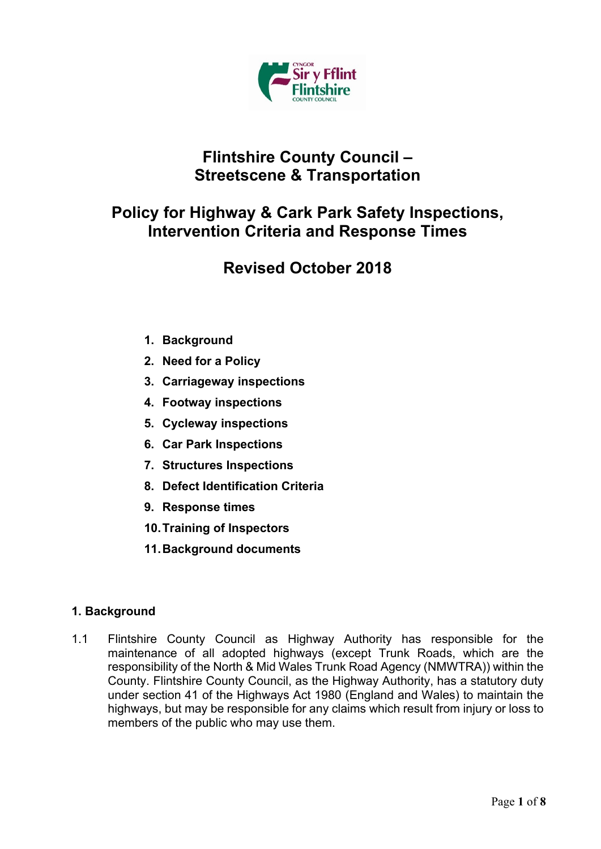

## **Flintshire County Council – Streetscene & Transportation**

## **Policy for Highway & Cark Park Safety Inspections, Intervention Criteria and Response Times**

# **Revised October 2018**

- **1. Background**
- **2. Need for a Policy**
- **3. Carriageway inspections**
- **4. Footway inspections**
- **5. Cycleway inspections**
- **6. Car Park Inspections**
- **7. Structures Inspections**
- **8. Defect Identification Criteria**
- **9. Response times**
- **10.Training of Inspectors**
- **11.Background documents**

## **1. Background**

1.1 Flintshire County Council as Highway Authority has responsible for the maintenance of all adopted highways (except Trunk Roads, which are the responsibility of the North & Mid Wales Trunk Road Agency (NMWTRA)) within the County. Flintshire County Council, as the Highway Authority, has a statutory duty under section 41 of the Highways Act 1980 (England and Wales) to maintain the highways, but may be responsible for any claims which result from injury or loss to members of the public who may use them.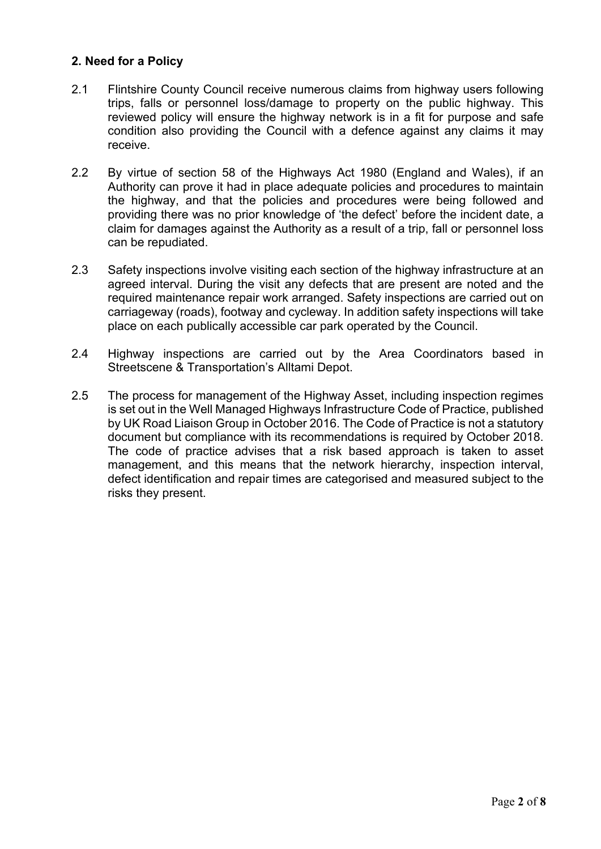### **2. Need for a Policy**

- 2.1 Flintshire County Council receive numerous claims from highway users following trips, falls or personnel loss/damage to property on the public highway. This reviewed policy will ensure the highway network is in a fit for purpose and safe condition also providing the Council with a defence against any claims it may receive.
- 2.2 By virtue of section 58 of the Highways Act 1980 (England and Wales), if an Authority can prove it had in place adequate policies and procedures to maintain the highway, and that the policies and procedures were being followed and providing there was no prior knowledge of 'the defect' before the incident date, a claim for damages against the Authority as a result of a trip, fall or personnel loss can be repudiated.
- 2.3 Safety inspections involve visiting each section of the highway infrastructure at an agreed interval. During the visit any defects that are present are noted and the required maintenance repair work arranged. Safety inspections are carried out on carriageway (roads), footway and cycleway. In addition safety inspections will take place on each publically accessible car park operated by the Council.
- 2.4 Highway inspections are carried out by the Area Coordinators based in Streetscene & Transportation's Alltami Depot.
- 2.5 The process for management of the Highway Asset, including inspection regimes is set out in the Well Managed Highways Infrastructure Code of Practice, published by UK Road Liaison Group in October 2016. The Code of Practice is not a statutory document but compliance with its recommendations is required by October 2018. The code of practice advises that a risk based approach is taken to asset management, and this means that the network hierarchy, inspection interval, defect identification and repair times are categorised and measured subject to the risks they present.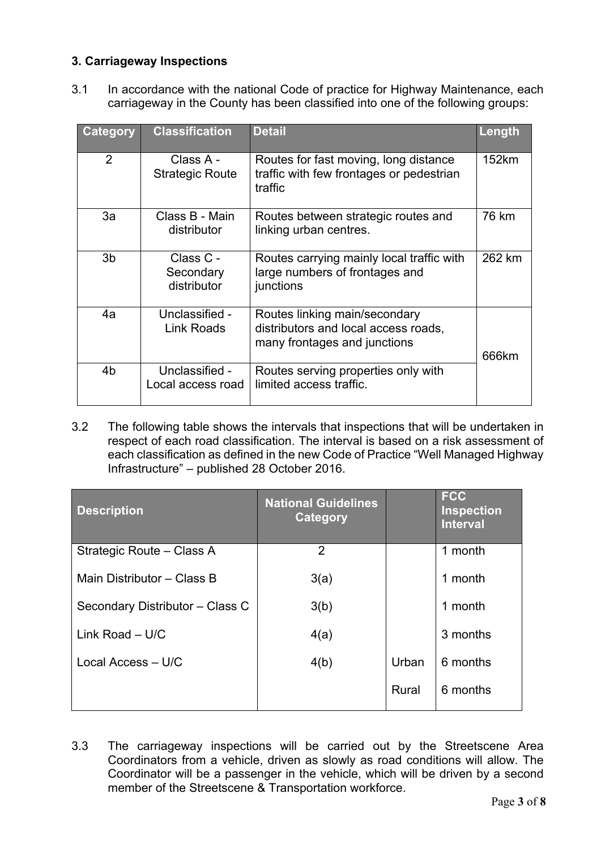## **3. Carriageway Inspections**

3.1 In accordance with the national Code of practice for Highway Maintenance, each carriageway in the County has been classified into one of the following groups:

| <b>Category</b> | <b>Classification</b>                 | <b>Detail</b>                                                                                         | Length |
|-----------------|---------------------------------------|-------------------------------------------------------------------------------------------------------|--------|
| 2               | Class A -<br><b>Strategic Route</b>   | Routes for fast moving, long distance<br>traffic with few frontages or pedestrian<br>traffic          | 152km  |
| 3a              | Class B - Main<br>distributor         | Routes between strategic routes and<br>linking urban centres.                                         | 76 km  |
| 3 <sub>b</sub>  | Class C -<br>Secondary<br>distributor | Routes carrying mainly local traffic with<br>large numbers of frontages and<br>junctions              | 262 km |
| 4a              | Unclassified -<br><b>Link Roads</b>   | Routes linking main/secondary<br>distributors and local access roads,<br>many frontages and junctions | 666km  |
| 4 <sub>b</sub>  | Unclassified -<br>Local access road   | Routes serving properties only with<br>limited access traffic.                                        |        |

3.2 The following table shows the intervals that inspections that will be undertaken in respect of each road classification. The interval is based on a risk assessment of each classification as defined in the new Code of Practice "Well Managed Highway Infrastructure" – published 28 October 2016.

| <b>Description</b>              | <b>National Guidelines</b><br>Category |       | <b>FCC</b><br><b>Inspection</b><br><b>Interval</b> |
|---------------------------------|----------------------------------------|-------|----------------------------------------------------|
| Strategic Route – Class A       | $\overline{2}$                         |       | 1 month                                            |
| Main Distributor - Class B      | 3(a)                                   |       | 1 month                                            |
| Secondary Distributor - Class C | 3(b)                                   |       | 1 month                                            |
| Link Road $-$ U/C               | 4(a)                                   |       | 3 months                                           |
| Local Access - U/C              | 4(b)                                   | Urban | 6 months                                           |
|                                 |                                        | Rural | 6 months                                           |

3.3 The carriageway inspections will be carried out by the Streetscene Area Coordinators from a vehicle, driven as slowly as road conditions will allow. The Coordinator will be a passenger in the vehicle, which will be driven by a second member of the Streetscene & Transportation workforce.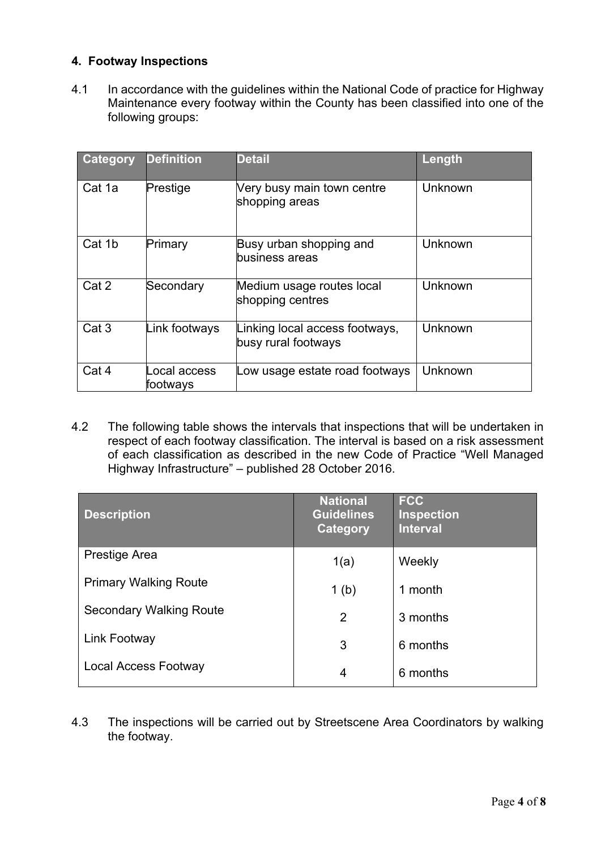### **4. Footway Inspections**

4.1 In accordance with the guidelines within the National Code of practice for Highway Maintenance every footway within the County has been classified into one of the following groups:

| <b>Category</b>  | <b>Definition</b>        | <b>Detail</b>                                         | Length  |
|------------------|--------------------------|-------------------------------------------------------|---------|
| Cat 1a           | Prestige                 | Very busy main town centre<br>shopping areas          | Unknown |
| Cat 1b           | Primary                  | Busy urban shopping and<br>business areas             | Unknown |
| Cat 2            | Secondary                | Medium usage routes local<br>shopping centres         | Unknown |
| Cat <sub>3</sub> | Link footways            | Linking local access footways,<br>busy rural footways | Unknown |
| Cat 4            | ocal access.<br>footways | Low usage estate road footways                        | Unknown |

4.2 The following table shows the intervals that inspections that will be undertaken in respect of each footway classification. The interval is based on a risk assessment of each classification as described in the new Code of Practice "Well Managed Highway Infrastructure" – published 28 October 2016.

| <b>Description</b>             | <b>National</b><br><b>Guidelines</b><br>Category | <b>FCC</b><br><b>Inspection</b><br><b>Interval</b> |
|--------------------------------|--------------------------------------------------|----------------------------------------------------|
| Prestige Area                  | 1(a)                                             | Weekly                                             |
| <b>Primary Walking Route</b>   | 1 <sub>(b)</sub>                                 | 1 month                                            |
| <b>Secondary Walking Route</b> | 2                                                | 3 months                                           |
| Link Footway                   | 3                                                | 6 months                                           |
| <b>Local Access Footway</b>    | 4                                                | 6 months                                           |

4.3 The inspections will be carried out by Streetscene Area Coordinators by walking the footway.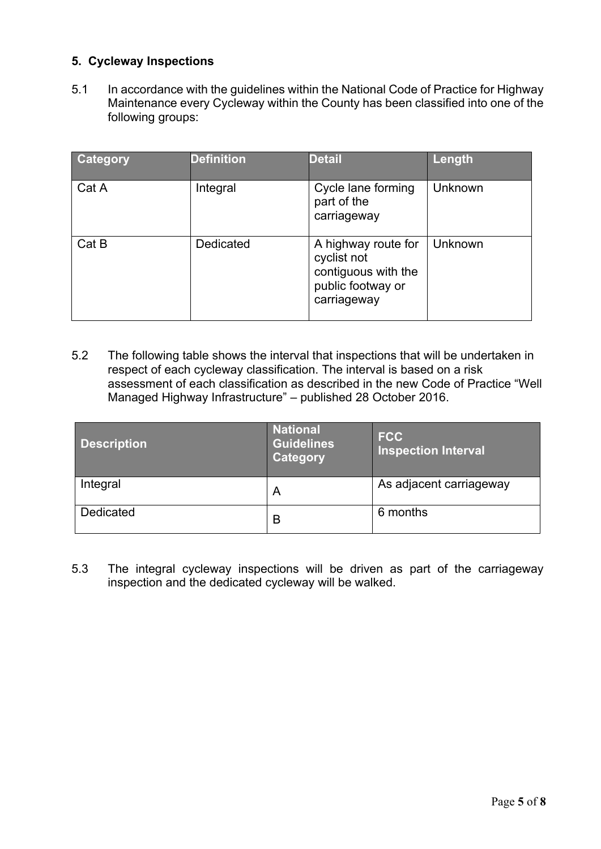## **5. Cycleway Inspections**

5.1 In accordance with the guidelines within the National Code of Practice for Highway Maintenance every Cycleway within the County has been classified into one of the following groups:

| <b>Category</b> | <b>Definition</b> | <b>Detail</b>                                                                                 | Length  |
|-----------------|-------------------|-----------------------------------------------------------------------------------------------|---------|
| Cat A           | Integral          | Cycle lane forming<br>part of the<br>carriageway                                              | Unknown |
| Cat B           | Dedicated         | A highway route for<br>cyclist not<br>contiguous with the<br>public footway or<br>carriageway | Unknown |

5.2 The following table shows the interval that inspections that will be undertaken in respect of each cycleway classification. The interval is based on a risk assessment of each classification as described in the new Code of Practice "Well Managed Highway Infrastructure" – published 28 October 2016.

| <b>Description</b> | <b>National</b><br><b>Guidelines</b><br>Category | <b>FCC</b><br><b>Inspection Interval</b> |
|--------------------|--------------------------------------------------|------------------------------------------|
| Integral           | A                                                | As adjacent carriageway                  |
| Dedicated          | B                                                | 6 months                                 |

5.3 The integral cycleway inspections will be driven as part of the carriageway inspection and the dedicated cycleway will be walked.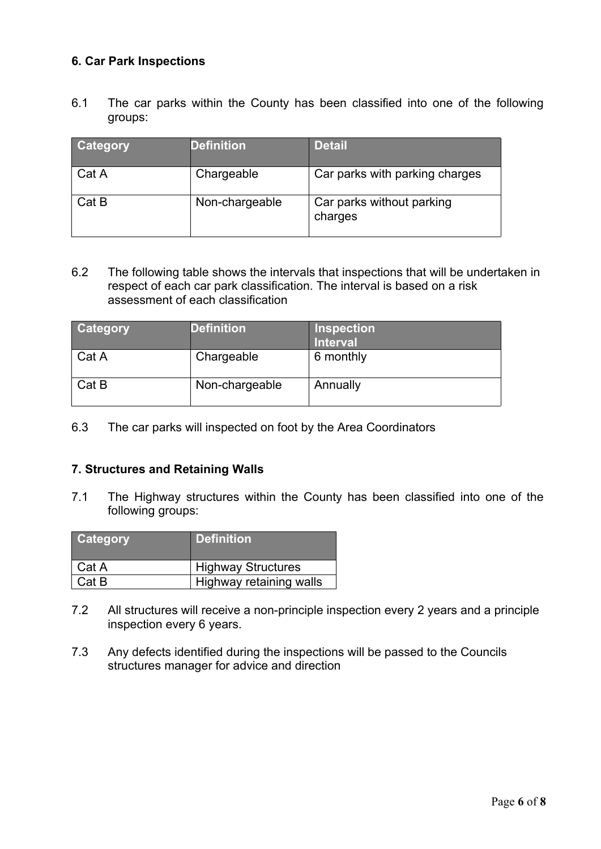### **6. Car Park Inspections**

6.1 The car parks within the County has been classified into one of the following groups:

| Category | <b>Definition</b> | <b>Detail</b>                        |
|----------|-------------------|--------------------------------------|
| Cat A    | Chargeable        | Car parks with parking charges       |
| Cat B    | Non-chargeable    | Car parks without parking<br>charges |

6.2 The following table shows the intervals that inspections that will be undertaken in respect of each car park classification. The interval is based on a risk assessment of each classification

| <b>Category</b> | <b>Definition</b> | <b>Inspection</b><br><b>Interval</b> |
|-----------------|-------------------|--------------------------------------|
| Cat A           | Chargeable        | 6 monthly                            |
| Cat B           | Non-chargeable    | Annually                             |

6.3 The car parks will inspected on foot by the Area Coordinators

#### **7. Structures and Retaining Walls**

7.1 The Highway structures within the County has been classified into one of the following groups:

| <b>Category</b> | <b>Definition</b>         |
|-----------------|---------------------------|
| Cat A           | <b>Highway Structures</b> |
| Cat B           | Highway retaining walls   |

- 7.2 All structures will receive a non-principle inspection every 2 years and a principle inspection every 6 years.
- 7.3 Any defects identified during the inspections will be passed to the Councils structures manager for advice and direction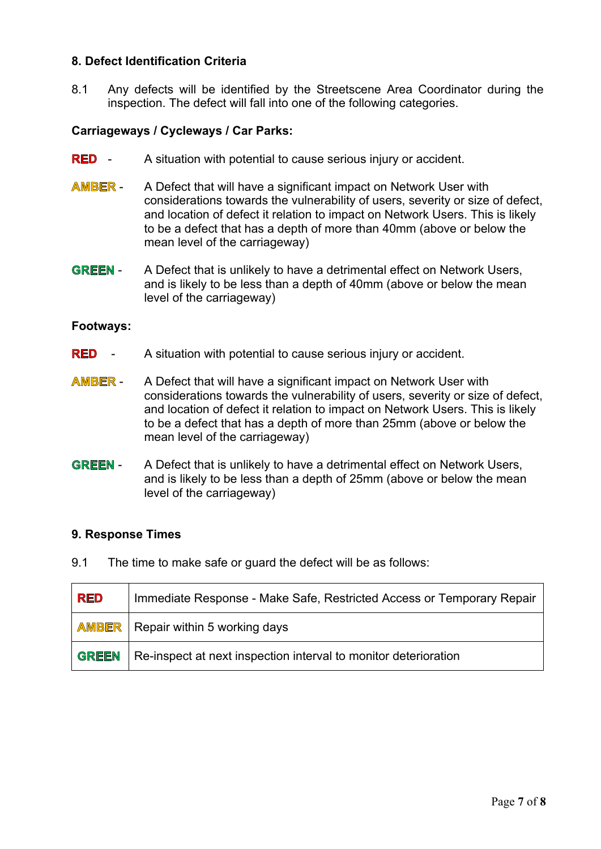#### **8. Defect Identification Criteria**

8.1 Any defects will be identified by the Streetscene Area Coordinator during the inspection. The defect will fall into one of the following categories.

#### **Carriageways / Cycleways / Car Parks:**

- **RED** A situation with potential to cause serious injury or accident.
- **AMBER** A Defect that will have a significant impact on Network User with considerations towards the vulnerability of users, severity or size of defect, and location of defect it relation to impact on Network Users. This is likely to be a defect that has a depth of more than 40mm (above or below the mean level of the carriageway)
- **GREEN** A Defect that is unlikely to have a detrimental effect on Network Users, and is likely to be less than a depth of 40mm (above or below the mean level of the carriageway)

#### **Footways:**

- **RED** A situation with potential to cause serious injury or accident.
- **AMBER** A Defect that will have a significant impact on Network User with considerations towards the vulnerability of users, severity or size of defect, and location of defect it relation to impact on Network Users. This is likely to be a defect that has a depth of more than 25mm (above or below the mean level of the carriageway)
- **GREEN** A Defect that is unlikely to have a detrimental effect on Network Users, and is likely to be less than a depth of 25mm (above or below the mean level of the carriageway)

#### **9. Response Times**

9.1 The time to make safe or guard the defect will be as follows:

| <b>RED</b> | Immediate Response - Make Safe, Restricted Access or Temporary Repair |
|------------|-----------------------------------------------------------------------|
|            | <b>AMBER</b>   Repair within 5 working days                           |
| GREEN      | Re-inspect at next inspection interval to monitor deterioration       |